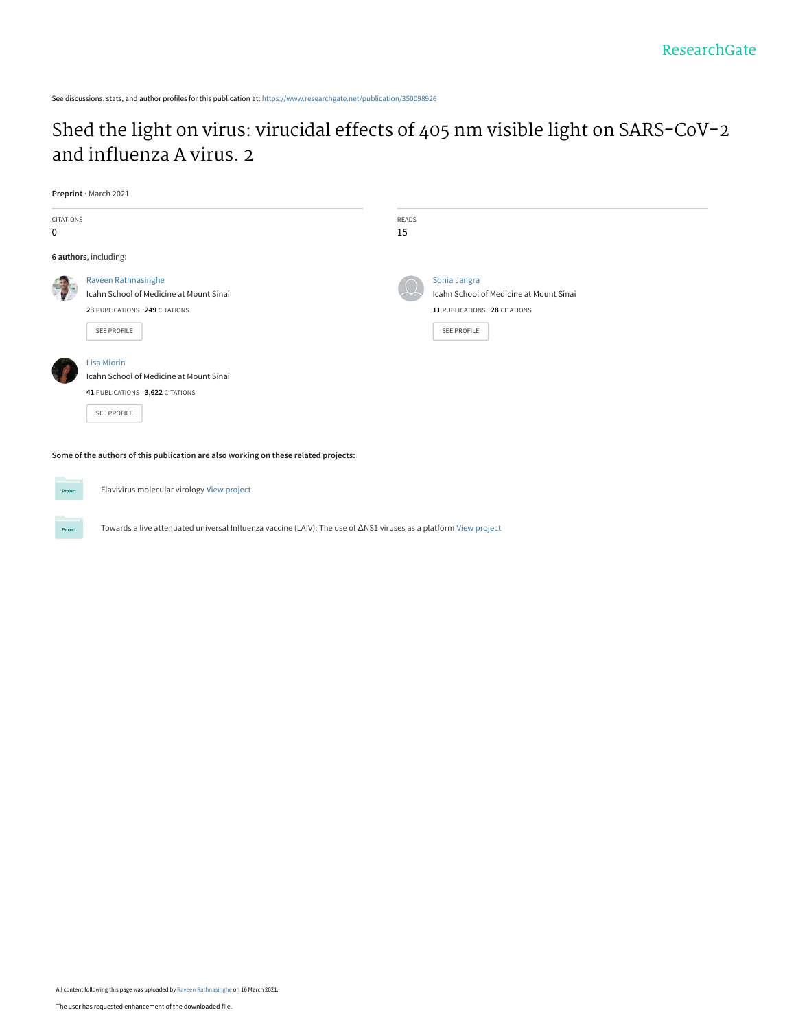See discussions, stats, and author profiles for this publication at: [https://www.researchgate.net/publication/350098926](https://www.researchgate.net/publication/350098926_Shed_the_light_on_virus_virucidal_effects_of_405_nm_visible_light_on_SARS-CoV-2_and_influenza_A_virus_2?enrichId=rgreq-095d9ce50d706377818264c7a5ecbbbf-XXX&enrichSource=Y292ZXJQYWdlOzM1MDA5ODkyNjtBUzoxMDAxOTg1MjA5ODE5MTM3QDE2MTU5MDMyOTgxNTQ%3D&el=1_x_2&_esc=publicationCoverPdf)

# [Shed the light on virus: virucidal effects of 405 nm visible light on SARS-CoV-2](https://www.researchgate.net/publication/350098926_Shed_the_light_on_virus_virucidal_effects_of_405_nm_visible_light_on_SARS-CoV-2_and_influenza_A_virus_2?enrichId=rgreq-095d9ce50d706377818264c7a5ecbbbf-XXX&enrichSource=Y292ZXJQYWdlOzM1MDA5ODkyNjtBUzoxMDAxOTg1MjA5ODE5MTM3QDE2MTU5MDMyOTgxNTQ%3D&el=1_x_3&_esc=publicationCoverPdf) and influenza A virus. 2

**Preprint** · March 2021

| CITATIONS<br>0        |                                                                                                                 | READS<br>15 |                                                                                                               |
|-----------------------|-----------------------------------------------------------------------------------------------------------------|-------------|---------------------------------------------------------------------------------------------------------------|
| 6 authors, including: |                                                                                                                 |             |                                                                                                               |
|                       | Raveen Rathnasinghe<br>Icahn School of Medicine at Mount Sinai<br>23 PUBLICATIONS 249 CITATIONS<br>SEE PROFILE  |             | Sonia Jangra<br>Icahn School of Medicine at Mount Sinai<br>11 PUBLICATIONS 28 CITATIONS<br><b>SEE PROFILE</b> |
|                       | <b>Lisa Miorin</b><br>Icahn School of Medicine at Mount Sinai<br>41 PUBLICATIONS 3,622 CITATIONS<br>SEE PROFILE |             |                                                                                                               |

**Some of the authors of this publication are also working on these related projects:**



Project

Flavivirus molecular virology [View project](https://www.researchgate.net/project/Flavivirus-molecular-virology?enrichId=rgreq-095d9ce50d706377818264c7a5ecbbbf-XXX&enrichSource=Y292ZXJQYWdlOzM1MDA5ODkyNjtBUzoxMDAxOTg1MjA5ODE5MTM3QDE2MTU5MDMyOTgxNTQ%3D&el=1_x_9&_esc=publicationCoverPdf)

Towards a live attenuated universal Influenza vaccine (LAIV): The use of ΔNS1 viruses as a platform [View project](https://www.researchgate.net/project/Towards-a-live-attenuated-universal-Influenza-vaccine-LAIV-The-use-of-DNS1-viruses-as-a-platform?enrichId=rgreq-095d9ce50d706377818264c7a5ecbbbf-XXX&enrichSource=Y292ZXJQYWdlOzM1MDA5ODkyNjtBUzoxMDAxOTg1MjA5ODE5MTM3QDE2MTU5MDMyOTgxNTQ%3D&el=1_x_9&_esc=publicationCoverPdf)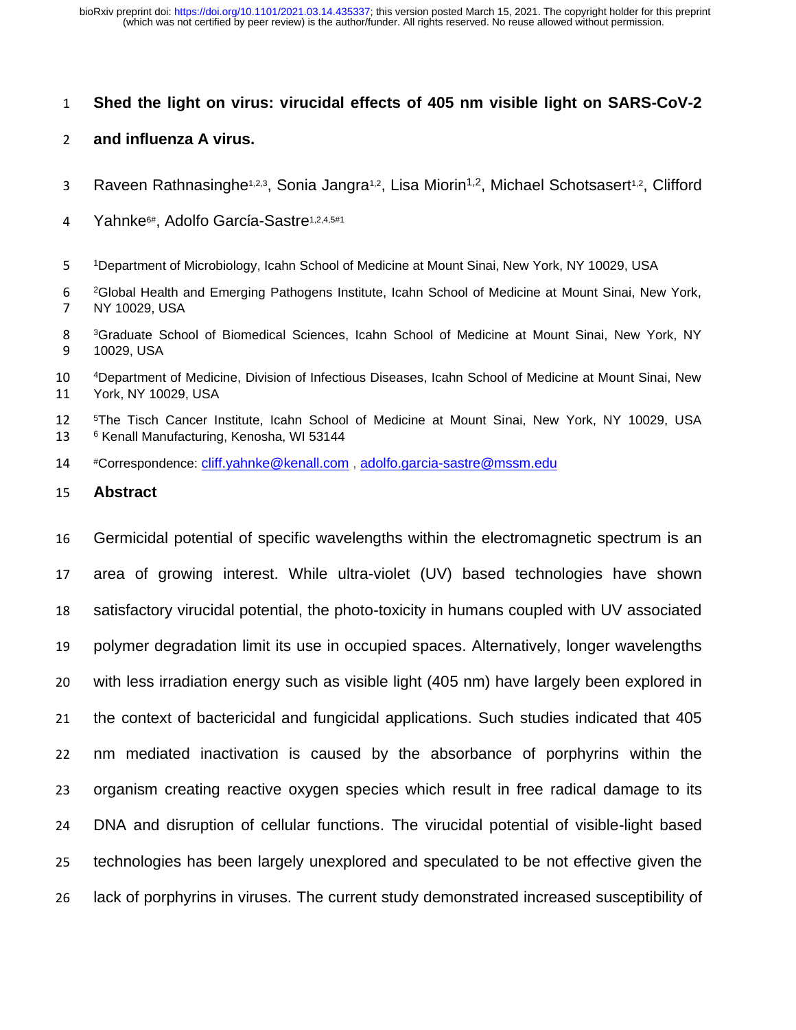# **Shed the light on virus: virucidal effects of 405 nm visible light on SARS-CoV-2**

## **and influenza A virus.**

- 3 Raveen Rathnasinghe<sup>1,2,3</sup>, Sonia Jangra<sup>1,2</sup>, Lisa Miorin<sup>1,2</sup>, Michael Schotsasert<sup>1,2</sup>, Clifford
- 4 Yahnke<sup>6#</sup>, Adolfo García-Sastre<sup>1,2,4,5#1</sup>
- Department of Microbiology, Icahn School of Medicine at Mount Sinai, New York, NY 10029, USA
- Global Health and Emerging Pathogens Institute, Icahn School of Medicine at Mount Sinai, New York, NY 10029, USA
- Graduate School of Biomedical Sciences, Icahn School of Medicine at Mount Sinai, New York, NY 10029, USA
- <sup>4</sup>Department of Medicine, Division of Infectious Diseases, Icahn School of Medicine at Mount Sinai, New York, NY 10029, USA
- <sup>5</sup>The Tisch Cancer Institute, Icahn School of Medicine at Mount Sinai, New York, NY 10029, USA <sup>6</sup> Kenall Manufacturing, Kenosha, WI 53144
- #Correspondence: [cliff.yahnke@kenall.com](mailto:cliff.yahnke@kenall.com) , [adolfo.garcia-sastre@mssm.edu](mailto:adolfo.garcia-sastre@mssm.edu)
- **Abstract**

 Germicidal potential of specific wavelengths within the electromagnetic spectrum is an area of growing interest. While ultra-violet (UV) based technologies have shown satisfactory virucidal potential, the photo-toxicity in humans coupled with UV associated polymer degradation limit its use in occupied spaces. Alternatively, longer wavelengths with less irradiation energy such as visible light (405 nm) have largely been explored in the context of bactericidal and fungicidal applications. Such studies indicated that 405 nm mediated inactivation is caused by the absorbance of porphyrins within the organism creating reactive oxygen species which result in free radical damage to its DNA and disruption of cellular functions. The virucidal potential of visible-light based technologies has been largely unexplored and speculated to be not effective given the lack of porphyrins in viruses. The current study demonstrated increased susceptibility of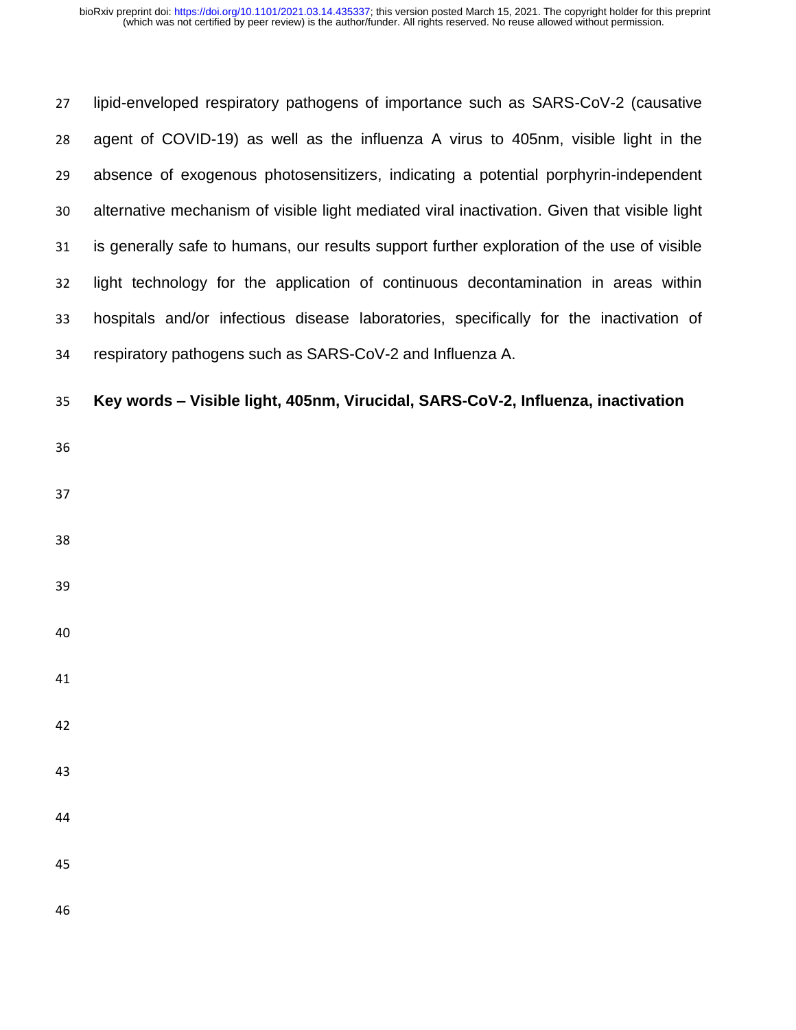lipid-enveloped respiratory pathogens of importance such as SARS-CoV-2 (causative agent of COVID-19) as well as the influenza A virus to 405nm, visible light in the absence of exogenous photosensitizers, indicating a potential porphyrin-independent alternative mechanism of visible light mediated viral inactivation. Given that visible light is generally safe to humans, our results support further exploration of the use of visible light technology for the application of continuous decontamination in areas within hospitals and/or infectious disease laboratories, specifically for the inactivation of respiratory pathogens such as SARS-CoV-2 and Influenza A.

**Key words – Visible light, 405nm, Virucidal, SARS-CoV-2, Influenza, inactivation**

- 
- 
- 
- 
- 
- 
- 
- 
- 
- 
- 
- 
- 
-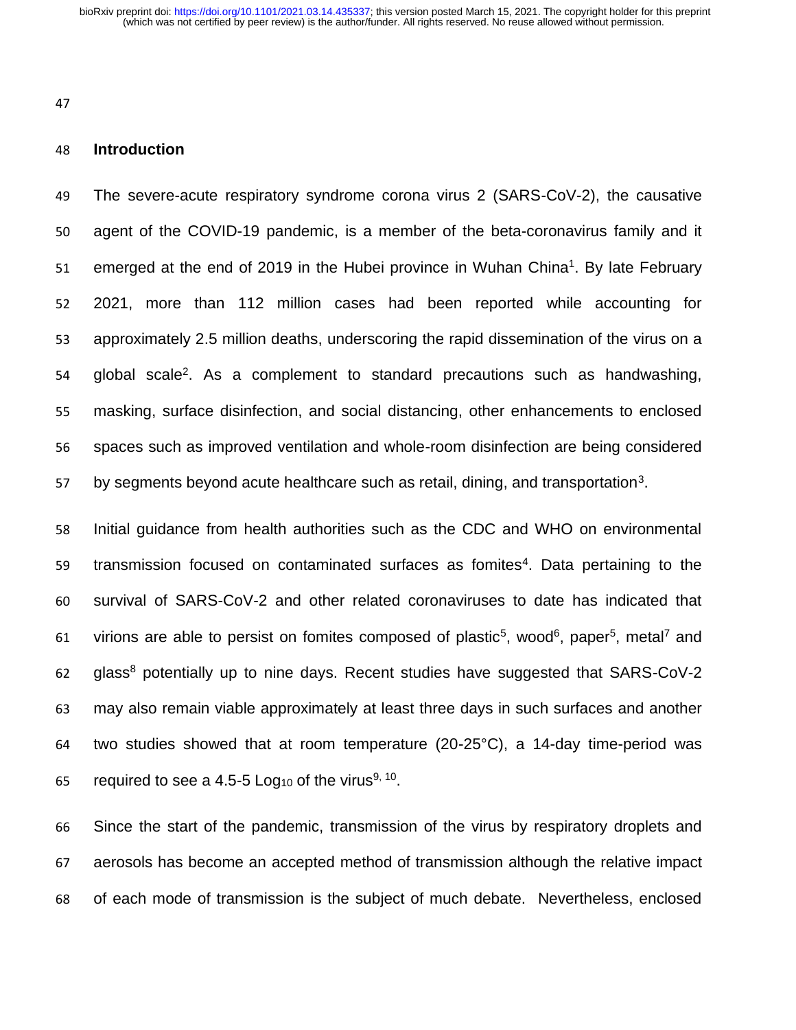### **Introduction**

 The severe-acute respiratory syndrome corona virus 2 (SARS-CoV-2), the causative agent of the COVID-19 pandemic, is a member of the beta-coronavirus family and it emerged at the end of 2019 in the Hubei province in Wuhan China<sup>1</sup>. By late February 2021, more than 112 million cases had been reported while accounting for approximately 2.5 million deaths, underscoring the rapid dissemination of the virus on a global scale<sup>2</sup>. As a complement to standard precautions such as handwashing, masking, surface disinfection, and social distancing, other enhancements to enclosed spaces such as improved ventilation and whole-room disinfection are being considered by segments beyond acute healthcare such as retail, dining, and transportation<sup>3</sup>.

 Initial guidance from health authorities such as the CDC and WHO on environmental 59 transmission focused on contaminated surfaces as fomites<sup>4</sup>. Data pertaining to the survival of SARS-CoV-2 and other related coronaviruses to date has indicated that 61 virions are able to persist on fomites composed of plastic<sup>5</sup>, wood<sup>6</sup>, paper<sup>5</sup>, metal<sup>7</sup> and glass<sup>8</sup> potentially up to nine days. Recent studies have suggested that SARS-CoV-2 may also remain viable approximately at least three days in such surfaces and another two studies showed that at room temperature (20-25°C), a 14-day time-period was 65 required to see a 4.5-5 Log<sub>10</sub> of the virus<sup>9, 10</sup>.

 Since the start of the pandemic, transmission of the virus by respiratory droplets and aerosols has become an accepted method of transmission although the relative impact of each mode of transmission is the subject of much debate. Nevertheless, enclosed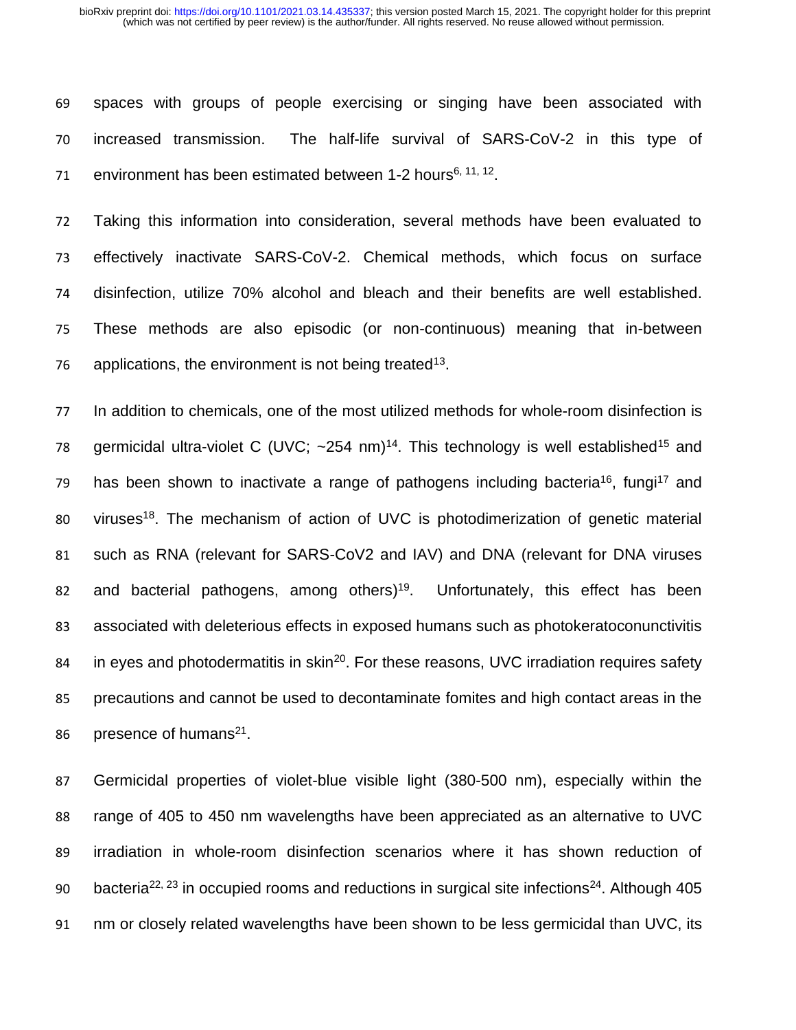69 spaces with groups of people exercising or singing have been associated with 70 increased transmission. The half-life survival of SARS-CoV-2 in this type of 71 environment has been estimated between 1-2 hours<sup>6, 11, 12</sup>.

 Taking this information into consideration, several methods have been evaluated to effectively inactivate SARS-CoV-2. Chemical methods, which focus on surface disinfection, utilize 70% alcohol and bleach and their benefits are well established. These methods are also episodic (or non-continuous) meaning that in-between applications, the environment is not being treated<sup>13</sup>.

77 In addition to chemicals, one of the most utilized methods for whole-room disinfection is 78 germicidal ultra-violet C (UVC;  $\sim$  254 nm)<sup>14</sup>. This technology is well established<sup>15</sup> and 79 has been shown to inactivate a range of pathogens including bacteria<sup>16</sup>, fungi<sup>17</sup> and 80 viruses<sup>18</sup>. The mechanism of action of UVC is photodimerization of genetic material 81 such as RNA (relevant for SARS-CoV2 and IAV) and DNA (relevant for DNA viruses 82 and bacterial pathogens, among others)<sup>19</sup>. Unfortunately, this effect has been 83 associated with deleterious effects in exposed humans such as photokeratoconunctivitis 84 in eyes and photodermatitis in skin<sup>20</sup>. For these reasons, UVC irradiation requires safety 85 precautions and cannot be used to decontaminate fomites and high contact areas in the 86 presence of humans<sup>21</sup>.

 Germicidal properties of violet-blue visible light (380-500 nm), especially within the range of 405 to 450 nm wavelengths have been appreciated as an alternative to UVC irradiation in whole-room disinfection scenarios where it has shown reduction of 90 bacteria<sup>22, 23</sup> in occupied rooms and reductions in surgical site infections<sup>24</sup>. Although 405 nm or closely related wavelengths have been shown to be less germicidal than UVC, its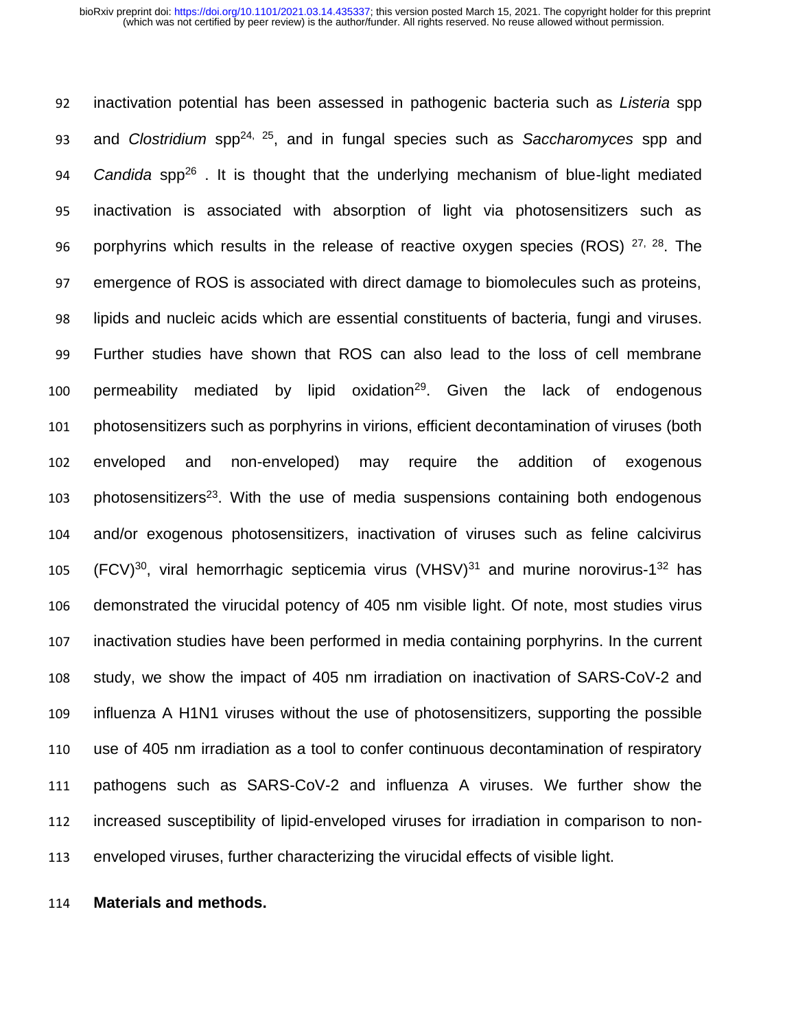inactivation potential has been assessed in pathogenic bacteria such as *Listeria* spp 93 and *Clostridium* spp<sup>24, 25</sup>, and in fungal species such as *Saccharomyces* spp and 94 Candida spp<sup>26</sup>. It is thought that the underlying mechanism of blue-light mediated inactivation is associated with absorption of light via photosensitizers such as 96 porphyrins which results in the release of reactive oxygen species (ROS)  $27, 28$ . The emergence of ROS is associated with direct damage to biomolecules such as proteins, lipids and nucleic acids which are essential constituents of bacteria, fungi and viruses. Further studies have shown that ROS can also lead to the loss of cell membrane 100 permeability mediated by lipid oxidation<sup>29</sup>. Given the lack of endogenous photosensitizers such as porphyrins in virions, efficient decontamination of viruses (both enveloped and non-enveloped) may require the addition of exogenous photosensitizers<sup>23</sup>. With the use of media suspensions containing both endogenous and/or exogenous photosensitizers, inactivation of viruses such as feline calcivirus 105 (FCV)<sup>30</sup>, viral hemorrhagic septicemia virus (VHSV)<sup>31</sup> and murine norovirus-1<sup>32</sup> has demonstrated the virucidal potency of 405 nm visible light. Of note, most studies virus inactivation studies have been performed in media containing porphyrins. In the current study, we show the impact of 405 nm irradiation on inactivation of SARS-CoV-2 and influenza A H1N1 viruses without the use of photosensitizers, supporting the possible use of 405 nm irradiation as a tool to confer continuous decontamination of respiratory pathogens such as SARS-CoV-2 and influenza A viruses. We further show the increased susceptibility of lipid-enveloped viruses for irradiation in comparison to non-enveloped viruses, further characterizing the virucidal effects of visible light.

**Materials and methods.**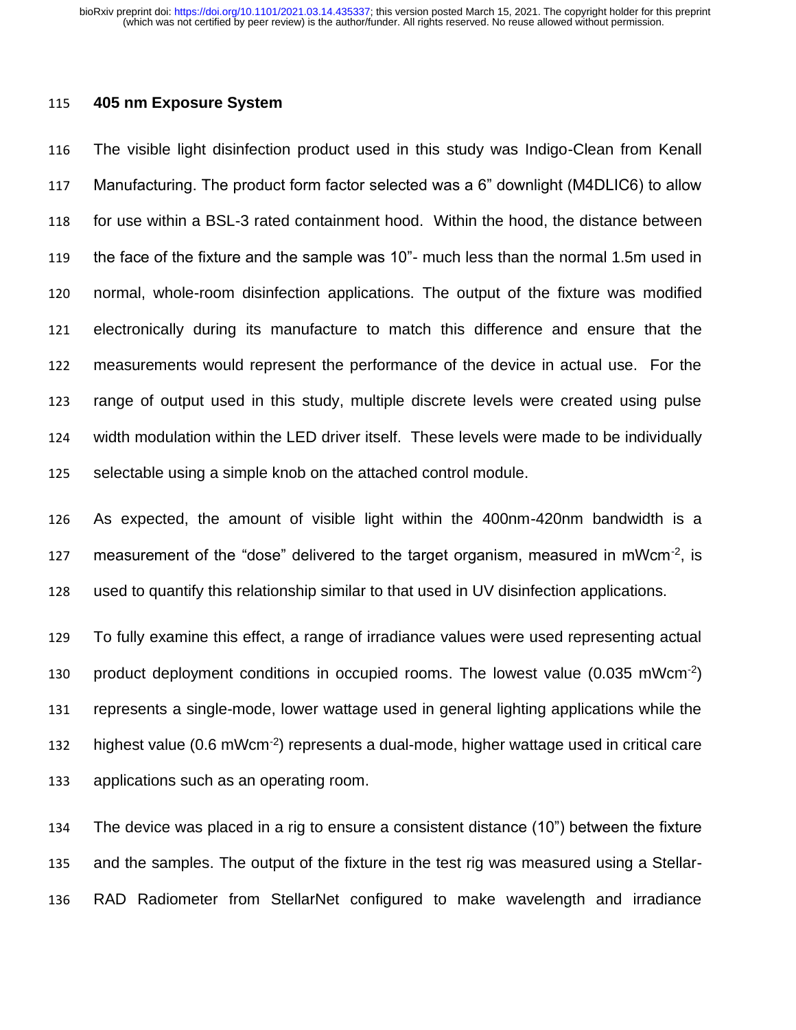### **405 nm Exposure System**

 The visible light disinfection product used in this study was Indigo-Clean from Kenall Manufacturing. The product form factor selected was a 6" downlight (M4DLIC6) to allow for use within a BSL-3 rated containment hood. Within the hood, the distance between the face of the fixture and the sample was 10"- much less than the normal 1.5m used in normal, whole-room disinfection applications. The output of the fixture was modified electronically during its manufacture to match this difference and ensure that the measurements would represent the performance of the device in actual use. For the range of output used in this study, multiple discrete levels were created using pulse width modulation within the LED driver itself. These levels were made to be individually selectable using a simple knob on the attached control module.

 As expected, the amount of visible light within the 400nm-420nm bandwidth is a 127 measurement of the "dose" delivered to the target organism, measured in mWcm $^{-2}$ , is used to quantify this relationship similar to that used in UV disinfection applications.

 To fully examine this effect, a range of irradiance values were used representing actual 130 product deployment conditions in occupied rooms. The lowest value  $(0.035 \text{ mWcm}^{-2})$  represents a single-mode, lower wattage used in general lighting applications while the 132 highest value  $(0.6 \text{ mWcm}^{-2})$  represents a dual-mode, higher wattage used in critical care applications such as an operating room.

 The device was placed in a rig to ensure a consistent distance (10") between the fixture and the samples. The output of the fixture in the test rig was measured using a Stellar-RAD Radiometer from StellarNet configured to make wavelength and irradiance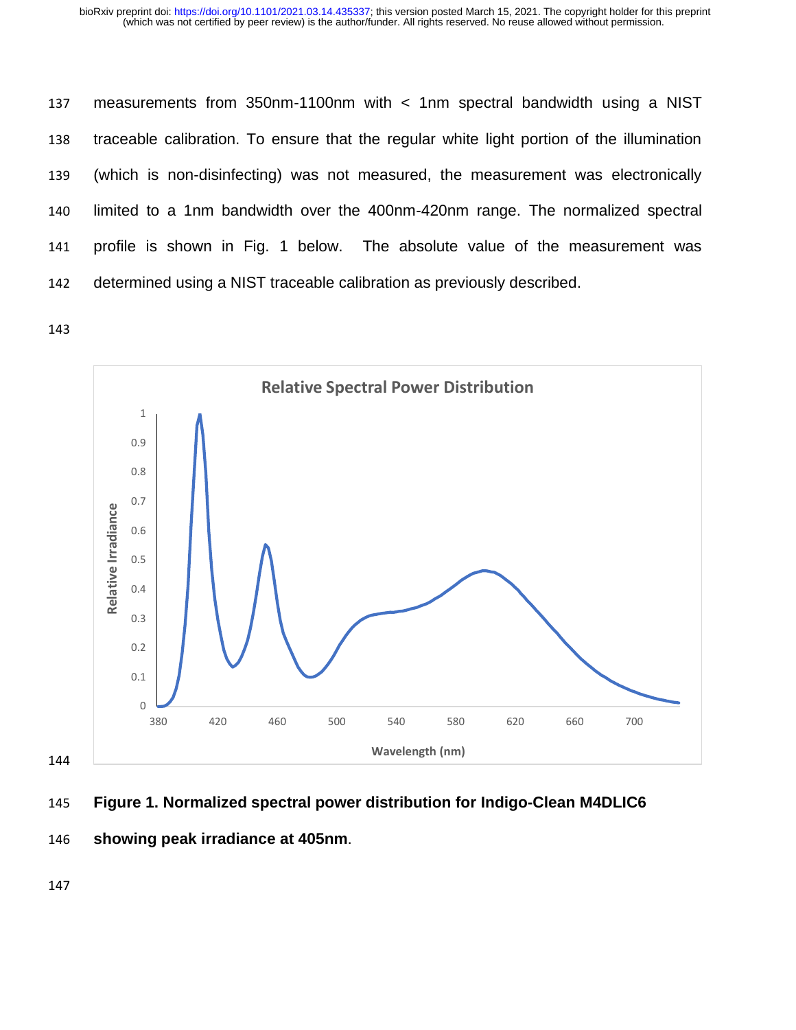measurements from 350nm-1100nm with < 1nm spectral bandwidth using a NIST traceable calibration. To ensure that the regular white light portion of the illumination (which is non-disinfecting) was not measured, the measurement was electronically limited to a 1nm bandwidth over the 400nm-420nm range. The normalized spectral profile is shown in Fig. 1 below. The absolute value of the measurement was determined using a NIST traceable calibration as previously described.

143



- 145 **Figure 1. Normalized spectral power distribution for Indigo-Clean M4DLIC6**
- 146 **showing peak irradiance at 405nm**.

147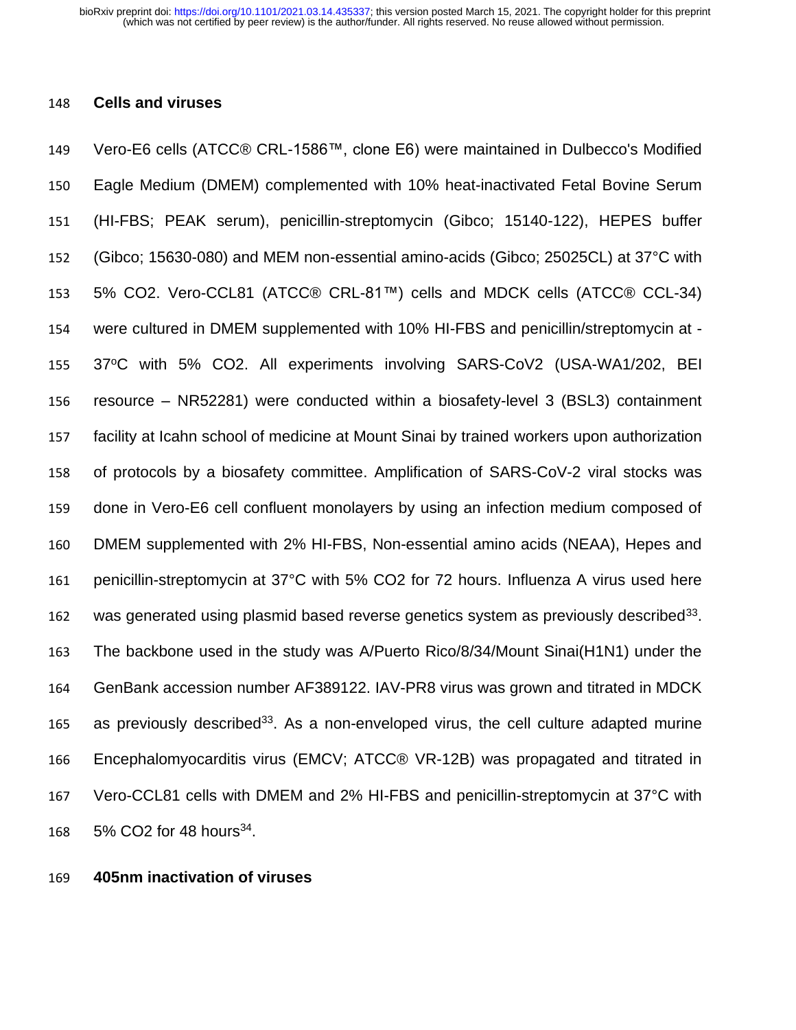### **Cells and viruses**

 Vero-E6 cells (ATCC® CRL-1586™, clone E6) were maintained in Dulbecco's Modified Eagle Medium (DMEM) complemented with 10% heat-inactivated Fetal Bovine Serum (HI-FBS; PEAK serum), penicillin-streptomycin (Gibco; 15140-122), HEPES buffer (Gibco; 15630-080) and MEM non-essential amino-acids (Gibco; 25025CL) at 37°C with 5% CO2. Vero-CCL81 (ATCC® CRL-81™) cells and MDCK cells (ATCC® CCL-34) were cultured in DMEM supplemented with 10% HI-FBS and penicillin/streptomycin at - 155 37°C with 5% CO2. All experiments involving SARS-CoV2 (USA-WA1/202, BEI resource – NR52281) were conducted within a biosafety-level 3 (BSL3) containment facility at Icahn school of medicine at Mount Sinai by trained workers upon authorization of protocols by a biosafety committee. Amplification of SARS-CoV-2 viral stocks was done in Vero-E6 cell confluent monolayers by using an infection medium composed of DMEM supplemented with 2% HI-FBS, Non-essential amino acids (NEAA), Hepes and penicillin-streptomycin at 37°C with 5% CO2 for 72 hours. Influenza A virus used here 162 was generated using plasmid based reverse genetics system as previously described . The backbone used in the study was A/Puerto Rico/8/34/Mount Sinai(H1N1) under the GenBank accession number [AF389122.](http://www.ncbi.nlm.nih.gov/entrez/viewer.fcgi??db=nucleotide&val=AF389122) IAV-PR8 virus was grown and titrated in MDCK 165 as previously described<sup>33</sup>. As a non-enveloped virus, the cell culture adapted murine Encephalomyocarditis virus (EMCV; ATCC® VR-12B) was propagated and titrated in Vero-CCL81 cells with DMEM and 2% HI-FBS and penicillin-streptomycin at 37°C with 168 5% CO2 for 48 hours<sup>34</sup>.

**405nm inactivation of viruses**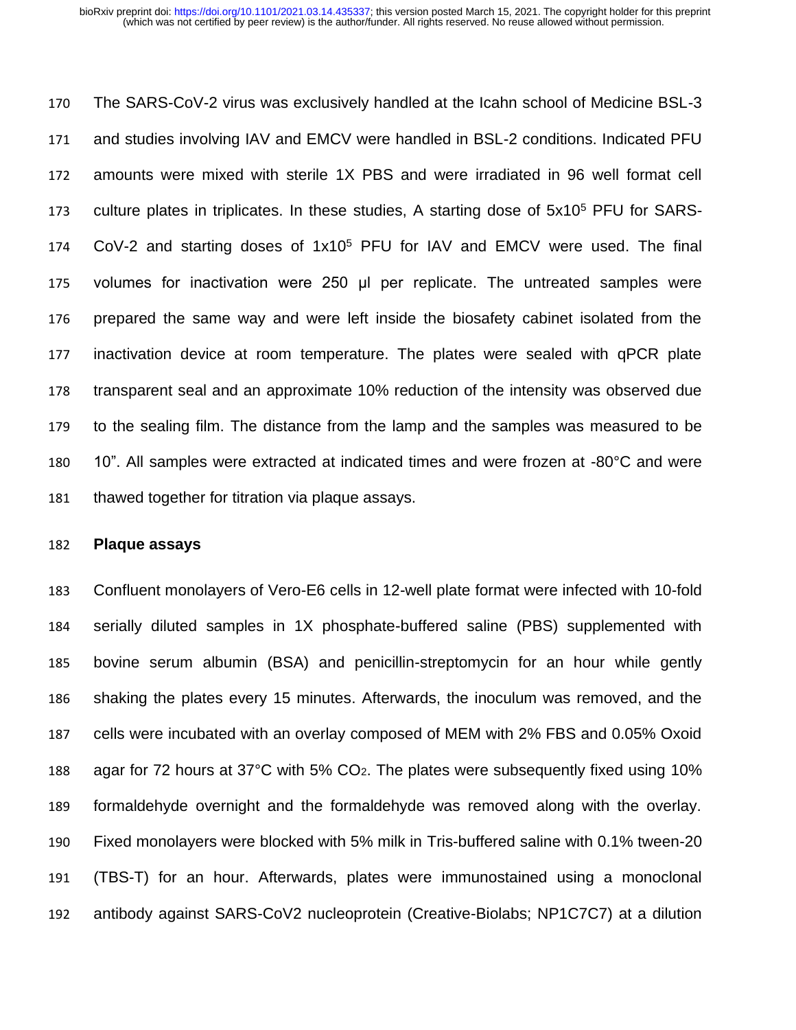The SARS-CoV-2 virus was exclusively handled at the Icahn school of Medicine BSL-3 and studies involving IAV and EMCV were handled in BSL-2 conditions. Indicated PFU amounts were mixed with sterile 1X PBS and were irradiated in 96 well format cell 173 culture plates in triplicates. In these studies, A starting dose of  $5x10<sup>5</sup>$  PFU for SARS- $COV-2$  and starting doses of  $1x10<sup>5</sup>$  PFU for IAV and EMCV were used. The final volumes for inactivation were 250 μl per replicate. The untreated samples were prepared the same way and were left inside the biosafety cabinet isolated from the inactivation device at room temperature. The plates were sealed with qPCR plate transparent seal and an approximate 10% reduction of the intensity was observed due to the sealing film. The distance from the lamp and the samples was measured to be 10". All samples were extracted at indicated times and were frozen at -80°C and were thawed together for titration via plaque assays.

### **Plaque assays**

 Confluent monolayers of Vero-E6 cells in 12-well plate format were infected with 10-fold serially diluted samples in 1X phosphate-buffered saline (PBS) supplemented with bovine serum albumin (BSA) and penicillin-streptomycin for an hour while gently shaking the plates every 15 minutes. Afterwards, the inoculum was removed, and the cells were incubated with an overlay composed of MEM with 2% FBS and 0.05% Oxoid agar for 72 hours at 37°C with 5% CO2. The plates were subsequently fixed using 10% formaldehyde overnight and the formaldehyde was removed along with the overlay. Fixed monolayers were blocked with 5% milk in Tris-buffered saline with 0.1% tween-20 (TBS-T) for an hour. Afterwards, plates were immunostained using a monoclonal antibody against SARS-CoV2 nucleoprotein (Creative-Biolabs; NP1C7C7) at a dilution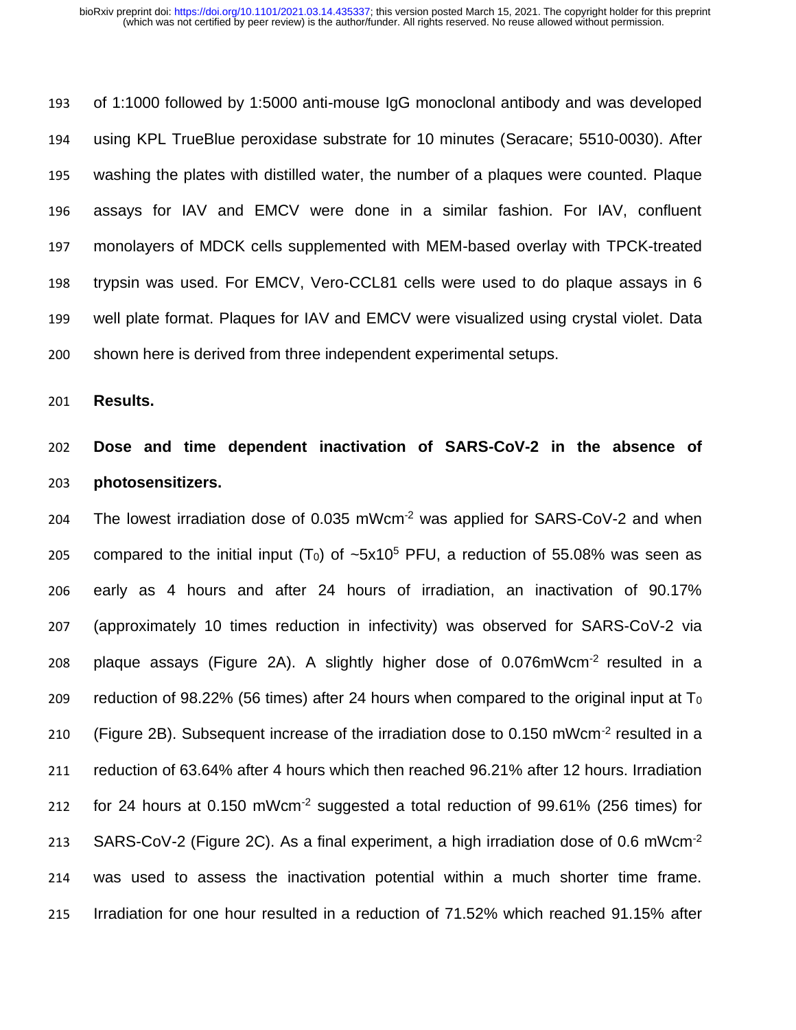of 1:1000 followed by 1:5000 anti-mouse IgG monoclonal antibody and was developed using KPL TrueBlue peroxidase substrate for 10 minutes (Seracare; 5510-0030). After washing the plates with distilled water, the number of a plaques were counted. Plaque assays for IAV and EMCV were done in a similar fashion. For IAV, confluent monolayers of MDCK cells supplemented with MEM-based overlay with TPCK-treated trypsin was used. For EMCV, Vero-CCL81 cells were used to do plaque assays in 6 well plate format. Plaques for IAV and EMCV were visualized using crystal violet. Data shown here is derived from three independent experimental setups.

**Results.**

# **Dose and time dependent inactivation of SARS-CoV-2 in the absence of photosensitizers.**

 The lowest irradiation dose of 0.035 mWcm-2 was applied for SARS-CoV-2 and when 205 compared to the initial input  $(T_0)$  of  $\sim 5x10^5$  PFU, a reduction of 55.08% was seen as early as 4 hours and after 24 hours of irradiation, an inactivation of 90.17% (approximately 10 times reduction in infectivity) was observed for SARS-CoV-2 via 208 plaque assays (Figure 2A). A slightly higher dose of  $0.076$ mWcm<sup>-2</sup> resulted in a 209 reduction of 98.22% (56 times) after 24 hours when compared to the original input at  $T_0$ 210 (Figure 2B). Subsequent increase of the irradiation dose to 0.150 mWcm<sup>-2</sup> resulted in a reduction of 63.64% after 4 hours which then reached 96.21% after 12 hours. Irradiation 212 for 24 hours at  $0.150$  mWcm<sup>-2</sup> suggested a total reduction of  $99.61\%$  (256 times) for 213 SARS-CoV-2 (Figure 2C). As a final experiment, a high irradiation dose of 0.6 mWcm<sup>-2</sup> was used to assess the inactivation potential within a much shorter time frame. Irradiation for one hour resulted in a reduction of 71.52% which reached 91.15% after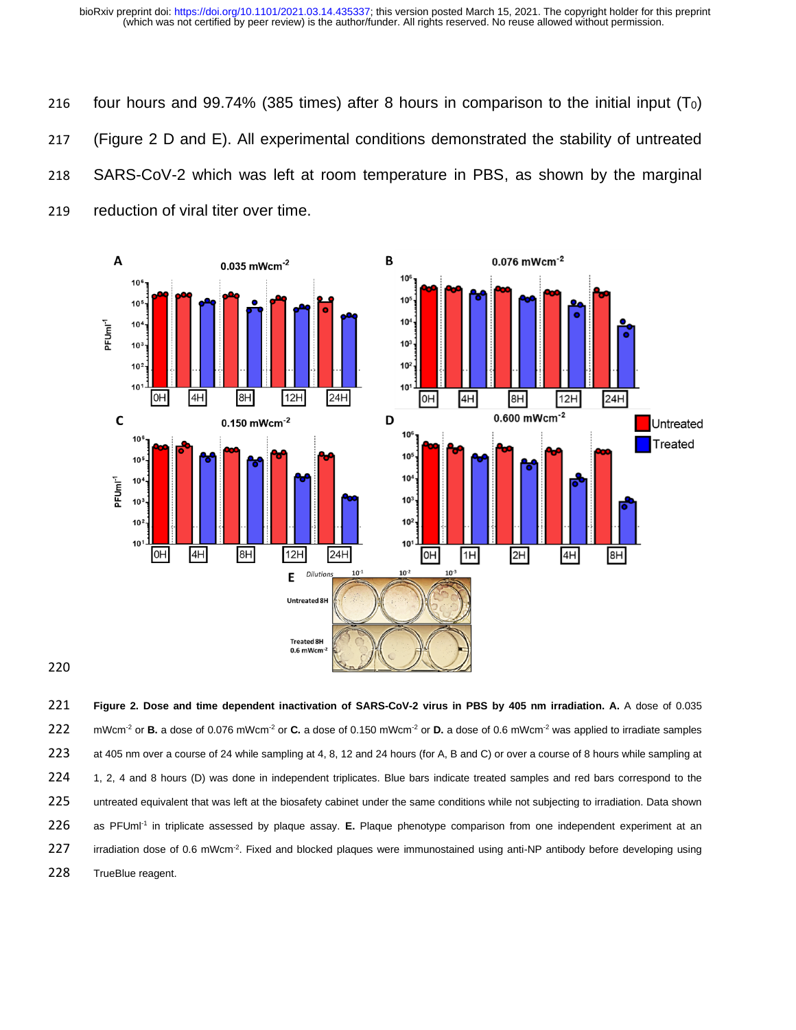four hours and 99.74% (385 times) after 8 hours in comparison to the initial input (T0) (Figure 2 D and E). All experimental conditions demonstrated the stability of untreated SARS-CoV-2 which was left at room temperature in PBS, as shown by the marginal reduction of viral titer over time.



221 **Figure 2. Dose and time dependent inactivation of SARS-CoV-2 virus in PBS by 405 nm irradiation. A.** A dose of 0.035 222 mWcm<sup>-2</sup> or **B.** a dose of 0.076 mWcm<sup>-2</sup> or **C.** a dose of 0.150 mWcm<sup>-2</sup> or **D.** a dose of 0.6 mWcm<sup>-2</sup> was applied to irradiate samples 223 at 405 nm over a course of 24 while sampling at 4, 8, 12 and 24 hours (for A, B and C) or over a course of 8 hours while sampling at 224 1, 2, 4 and 8 hours (D) was done in independent triplicates. Blue bars indicate treated samples and red bars correspond to the 225 untreated equivalent that was left at the biosafety cabinet under the same conditions while not subjecting to irradiation. Data shown 226 as PFUml<sup>-1</sup> in triplicate assessed by plaque assay. **E.** Plaque phenotype comparison from one independent experiment at an 227 irradiation dose of 0.6 mWcm<sup>-2</sup>. Fixed and blocked plaques were immunostained using anti-NP antibody before developing using 228 TrueBlue reagent.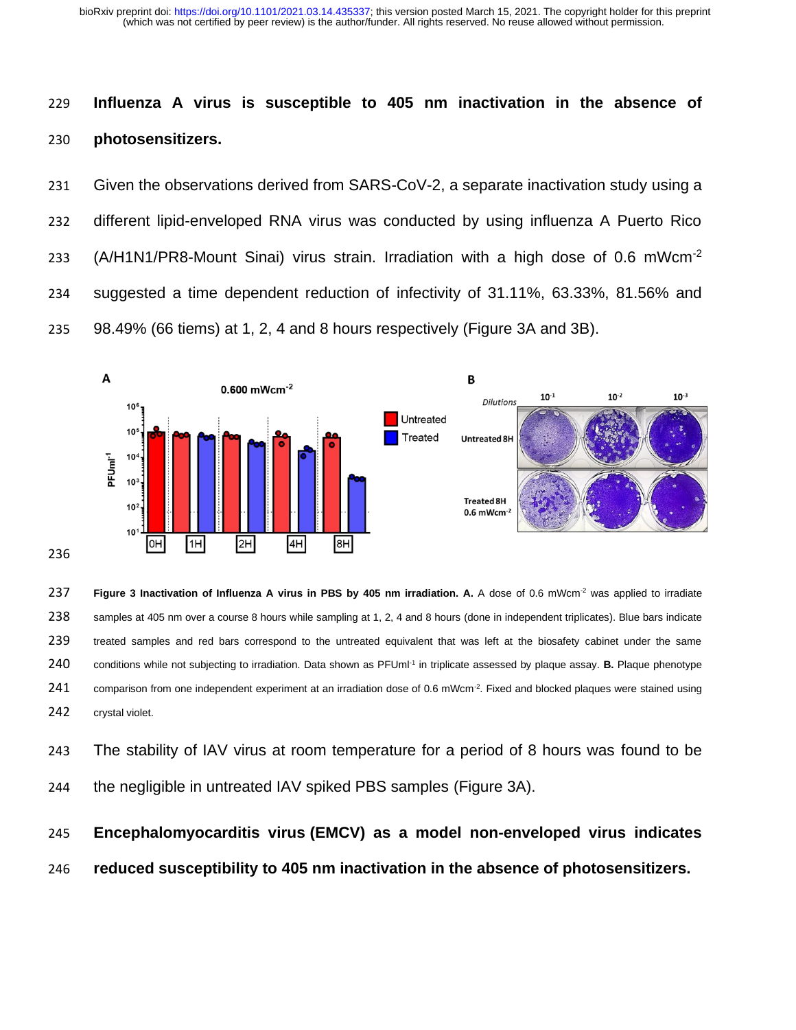(which was not certified by peer review) is the author/funder. All rights reserved. No reuse allowed without permission. bioRxiv preprint doi: [https://doi.org/10.1101/2021.03.14.435337;](https://doi.org/10.1101/2021.03.14.435337) this version posted March 15, 2021. The copyright holder for this preprint

# **Influenza A virus is susceptible to 405 nm inactivation in the absence of photosensitizers.**

 Given the observations derived from SARS-CoV-2, a separate inactivation study using a different lipid-enveloped RNA virus was conducted by using influenza A Puerto Rico 233 (A/H1N1/PR8-Mount Sinai) virus strain. Irradiation with a high dose of 0.6 mWcm<sup>-2</sup> suggested a time dependent reduction of infectivity of 31.11%, 63.33%, 81.56% and 98.49% (66 tiems) at 1, 2, 4 and 8 hours respectively (Figure 3A and 3B).



**Figure 3 Inactivation of Influenza A virus in PBS by 405 nm irradiation. A.** A dose of 0.6 mWcm-2 was applied to irradiate samples at 405 nm over a course 8 hours while sampling at 1, 2, 4 and 8 hours (done in independent triplicates). Blue bars indicate treated samples and red bars correspond to the untreated equivalent that was left at the biosafety cabinet under the same 240 conditions while not subjecting to irradiation. Data shown as PFUml<sup>-1</sup> in triplicate assessed by plaque assay. **B.** Plaque phenotype 241 comparison from one independent experiment at an irradiation dose of 0.6 mWcm<sup>-2</sup>. Fixed and blocked plaques were stained using crystal violet.

 The stability of IAV virus at room temperature for a period of 8 hours was found to be the negligible in untreated IAV spiked PBS samples (Figure 3A).

# **Encephalomyocarditis virus (EMCV) as a model non-enveloped virus indicates**

**reduced susceptibility to 405 nm inactivation in the absence of photosensitizers.**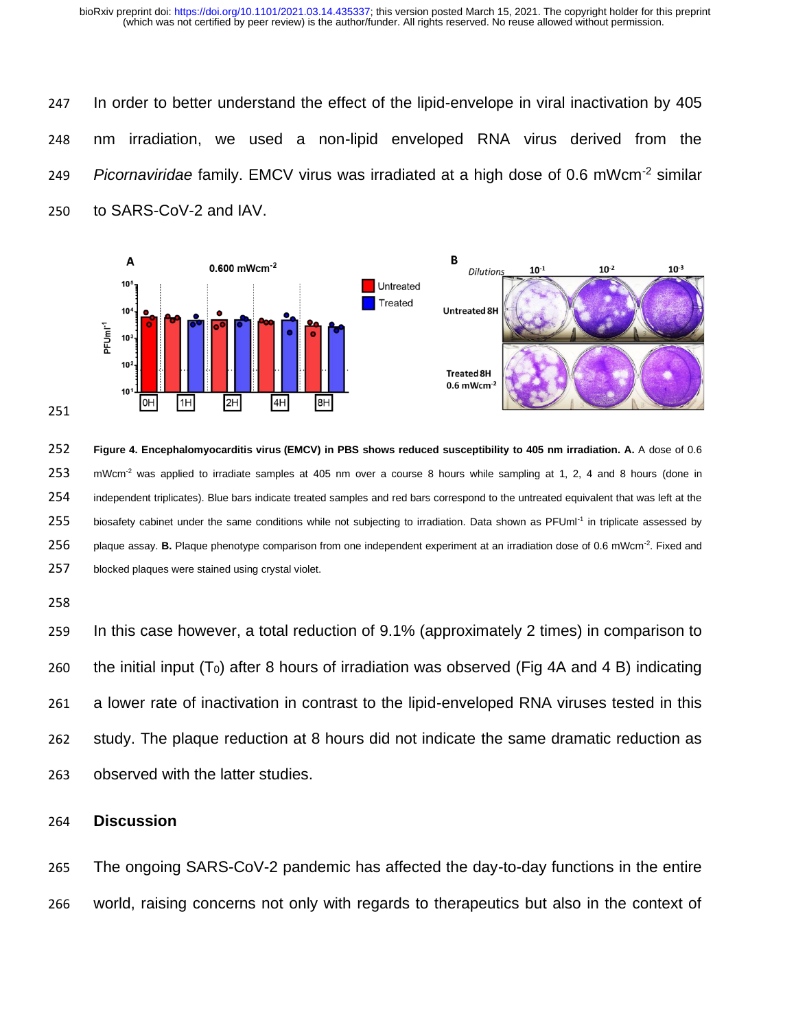In order to better understand the effect of the lipid-envelope in viral inactivation by 405 nm irradiation, we used a non-lipid enveloped RNA virus derived from the 249 Picornaviridae family. EMCV virus was irradiated at a high dose of 0.6 mWcm<sup>-2</sup> similar to SARS-CoV-2 and IAV.



 **Figure 4. Encephalomyocarditis virus (EMCV) in PBS shows reduced susceptibility to 405 nm irradiation. A.** A dose of 0.6 253 mWcm<sup>-2</sup> was applied to irradiate samples at 405 nm over a course 8 hours while sampling at 1, 2, 4 and 8 hours (done in independent triplicates). Blue bars indicate treated samples and red bars correspond to the untreated equivalent that was left at the 255 biosafety cabinet under the same conditions while not subjecting to irradiation. Data shown as PFUml<sup>-1</sup> in triplicate assessed by 256 plaque assay. **B.** Plaque phenotype comparison from one independent experiment at an irradiation dose of 0.6 mWcm<sup>-2</sup>. Fixed and blocked plaques were stained using crystal violet.

 In this case however, a total reduction of 9.1% (approximately 2 times) in comparison to 260 the initial input  $(T_0)$  after 8 hours of irradiation was observed (Fig 4A and 4 B) indicating a lower rate of inactivation in contrast to the lipid-enveloped RNA viruses tested in this study. The plaque reduction at 8 hours did not indicate the same dramatic reduction as observed with the latter studies.

### **Discussion**

 The ongoing SARS-CoV-2 pandemic has affected the day-to-day functions in the entire world, raising concerns not only with regards to therapeutics but also in the context of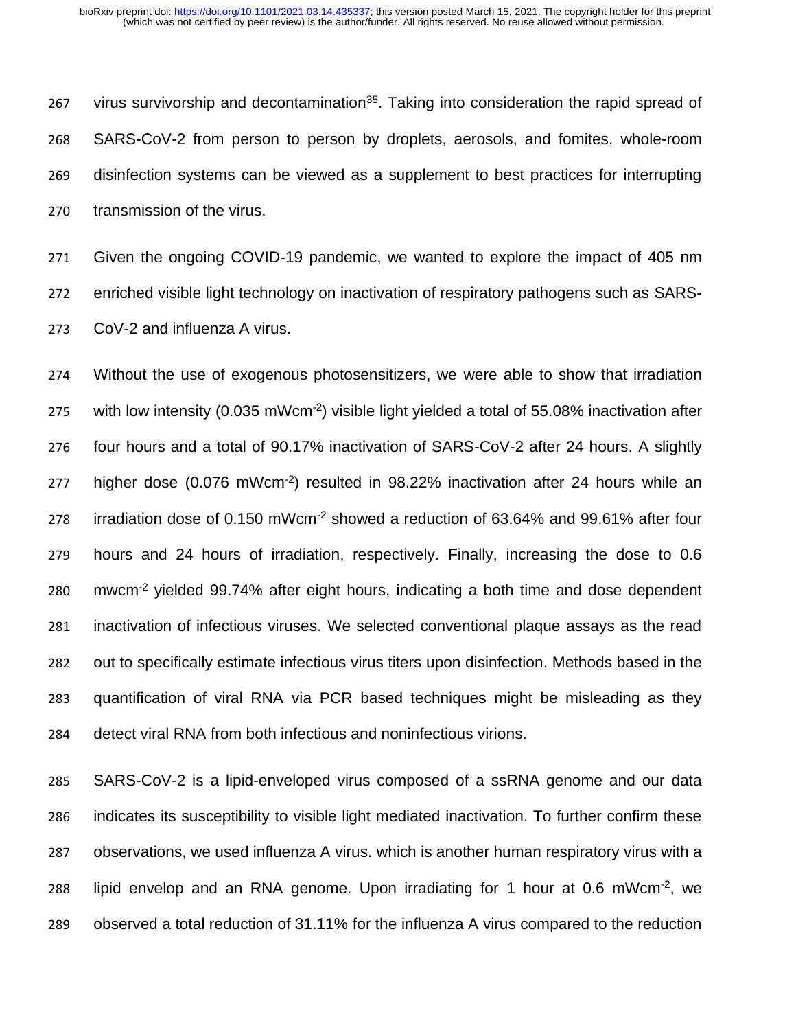267 virus survivorship and decontamination<sup>35</sup>. Taking into consideration the rapid spread of SARS-CoV-2 from person to person by droplets, aerosols, and fomites, whole-room disinfection systems can be viewed as a supplement to best practices for interrupting transmission of the virus.

 Given the ongoing COVID-19 pandemic, we wanted to explore the impact of 405 nm enriched visible light technology on inactivation of respiratory pathogens such as SARS-CoV-2 and influenza A virus.

 Without the use of exogenous photosensitizers, we were able to show that irradiation 275 with low intensity (0.035 mWcm<sup>-2</sup>) visible light yielded a total of 55.08% inactivation after four hours and a total of 90.17% inactivation of SARS-CoV-2 after 24 hours. A slightly 277 higher dose  $(0.076 \text{ mWcm}^{-2})$  resulted in 98.22% inactivation after 24 hours while an 278 irradiation dose of 0.150 mWcm<sup>-2</sup> showed a reduction of 63.64% and 99.61% after four hours and 24 hours of irradiation, respectively. Finally, increasing the dose to 0.6 mwcm<sup>-2</sup> yielded 99.74% after eight hours, indicating a both time and dose dependent inactivation of infectious viruses. We selected conventional plaque assays as the read out to specifically estimate infectious virus titers upon disinfection. Methods based in the quantification of viral RNA via PCR based techniques might be misleading as they detect viral RNA from both infectious and noninfectious virions.

 SARS-CoV-2 is a lipid-enveloped virus composed of a ssRNA genome and our data indicates its susceptibility to visible light mediated inactivation. To further confirm these observations, we used influenza A virus. which is another human respiratory virus with a 288 lipid envelop and an RNA genome. Upon irradiating for 1 hour at 0.6 mWcm<sup>-2</sup>, we observed a total reduction of 31.11% for the influenza A virus compared to the reduction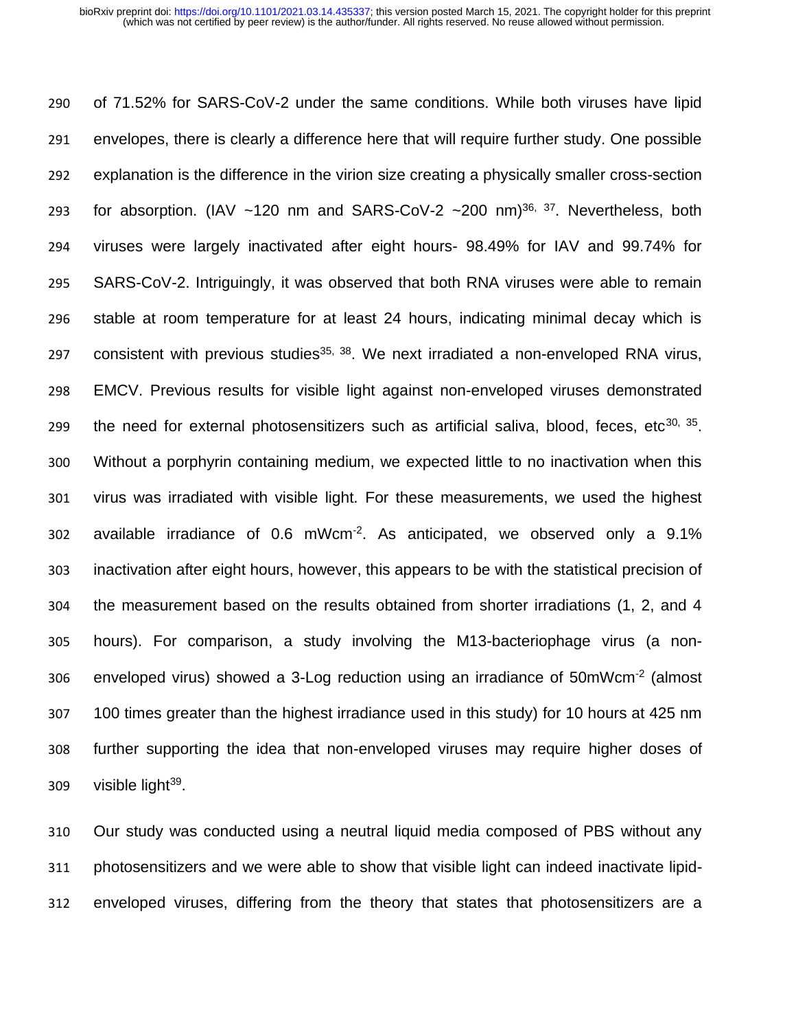of 71.52% for SARS-CoV-2 under the same conditions. While both viruses have lipid envelopes, there is clearly a difference here that will require further study. One possible explanation is the difference in the virion size creating a physically smaller cross-section 293 for absorption. (IAV  $~120$  nm and SARS-CoV-2  $~200$  nm)<sup>36, 37</sup>. Nevertheless, both viruses were largely inactivated after eight hours- 98.49% for IAV and 99.74% for SARS-CoV-2. Intriguingly, it was observed that both RNA viruses were able to remain stable at room temperature for at least 24 hours, indicating minimal decay which is consistent with previous studies<sup>35, 38</sup>. We next irradiated a non-enveloped RNA virus, EMCV. Previous results for visible light against non-enveloped viruses demonstrated 299 the need for external photosensitizers such as artificial saliva, blood, feces, etc<sup>30, 35</sup>. Without a porphyrin containing medium, we expected little to no inactivation when this virus was irradiated with visible light. For these measurements, we used the highest 302 available irradiance of  $0.6$  mWcm<sup>-2</sup>. As anticipated, we observed only a  $9.1\%$  inactivation after eight hours, however, this appears to be with the statistical precision of the measurement based on the results obtained from shorter irradiations (1, 2, and 4 hours). For comparison, a study involving the M13-bacteriophage virus (a non-306 enveloped virus) showed a 3-Log reduction using an irradiance of  $50 \text{mW cm}^{-2}$  (almost 100 times greater than the highest irradiance used in this study) for 10 hours at 425 nm further supporting the idea that non-enveloped viruses may require higher doses of visible light<sup>39</sup>.

 Our study was conducted using a neutral liquid media composed of PBS without any photosensitizers and we were able to show that visible light can indeed inactivate lipid-enveloped viruses, differing from the theory that states that photosensitizers are a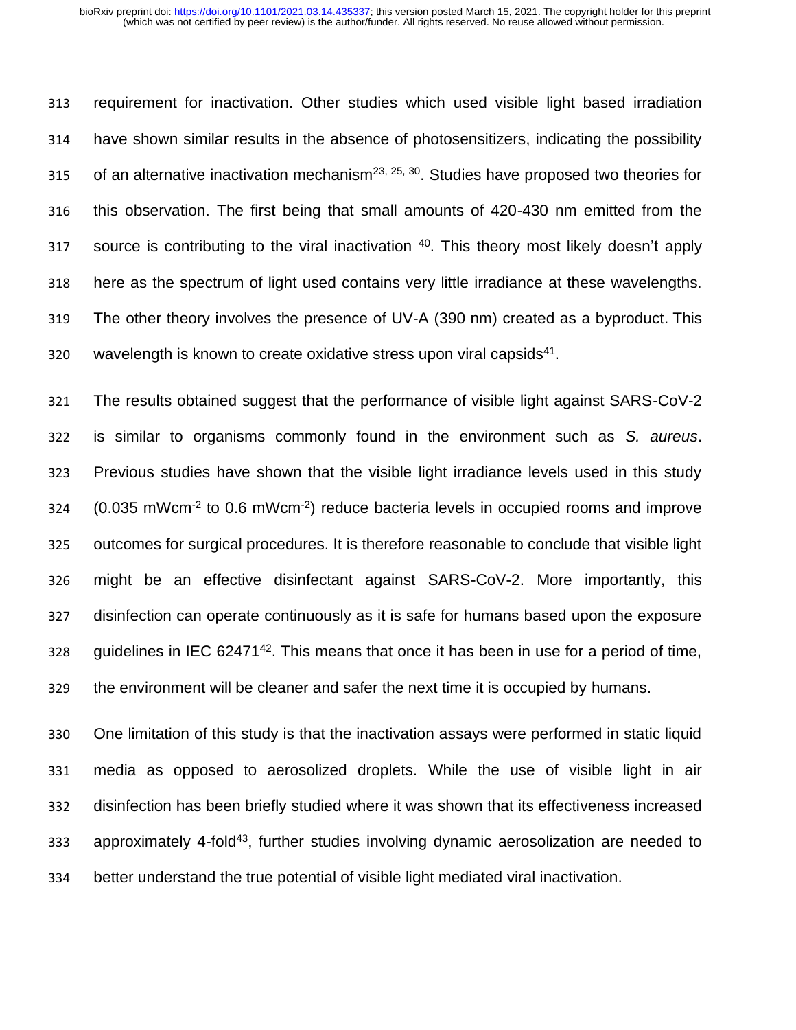requirement for inactivation. Other studies which used visible light based irradiation have shown similar results in the absence of photosensitizers, indicating the possibility 315 of an alternative inactivation mechanism<sup>23, 25, 30</sup>. Studies have proposed two theories for this observation. The first being that small amounts of 420-430 nm emitted from the source is contributing to the viral inactivation . This theory most likely doesn't apply here as the spectrum of light used contains very little irradiance at these wavelengths. The other theory involves the presence of UV-A (390 nm) created as a byproduct. This wavelength is known to create oxidative stress upon viral capsids<sup>41</sup>.

 The results obtained suggest that the performance of visible light against SARS-CoV-2 is similar to organisms commonly found in the environment such as *S. aureus*. Previous studies have shown that the visible light irradiance levels used in this study  $(0.035 \text{ mWcm}^{-2} \text{ to } 0.6 \text{ mWcm}^{-2})$  reduce bacteria levels in occupied rooms and improve outcomes for surgical procedures. It is therefore reasonable to conclude that visible light might be an effective disinfectant against SARS-CoV-2. More importantly, this disinfection can operate continuously as it is safe for humans based upon the exposure 328 guidelines in IEC  $62471^{42}$ . This means that once it has been in use for a period of time, the environment will be cleaner and safer the next time it is occupied by humans.

 One limitation of this study is that the inactivation assays were performed in static liquid media as opposed to aerosolized droplets. While the use of visible light in air disinfection has been briefly studied where it was shown that its effectiveness increased 333 approximately 4-fold<sup>43</sup>, further studies involving dynamic aerosolization are needed to better understand the true potential of visible light mediated viral inactivation.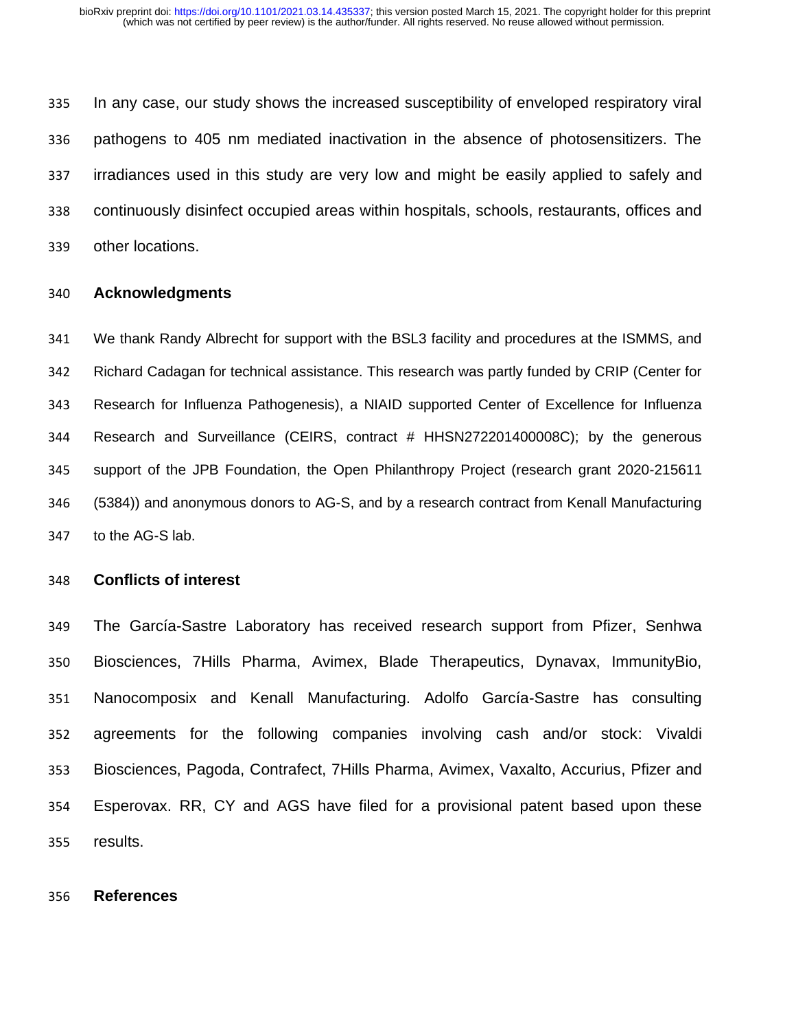In any case, our study shows the increased susceptibility of enveloped respiratory viral pathogens to 405 nm mediated inactivation in the absence of photosensitizers. The irradiances used in this study are very low and might be easily applied to safely and continuously disinfect occupied areas within hospitals, schools, restaurants, offices and other locations.

### **Acknowledgments**

 We thank Randy Albrecht for support with the BSL3 facility and procedures at the ISMMS, and Richard Cadagan for technical assistance. This research was partly funded by CRIP (Center for Research for Influenza Pathogenesis), a NIAID supported Center of Excellence for Influenza Research and Surveillance (CEIRS, contract # HHSN272201400008C); by the generous support of the JPB Foundation, the Open Philanthropy Project (research grant 2020-215611 (5384)) and anonymous donors to AG-S, and by a research contract from Kenall Manufacturing to the AG-S lab.

### **Conflicts of interest**

 The García-Sastre Laboratory has received research support from Pfizer, Senhwa Biosciences, 7Hills Pharma, Avimex, Blade Therapeutics, Dynavax, ImmunityBio, Nanocomposix and Kenall Manufacturing. Adolfo García-Sastre has consulting agreements for the following companies involving cash and/or stock: Vivaldi Biosciences, Pagoda, Contrafect, 7Hills Pharma, Avimex, Vaxalto, Accurius, Pfizer and Esperovax. RR, CY and AGS have filed for a provisional patent based upon these results.

#### **References**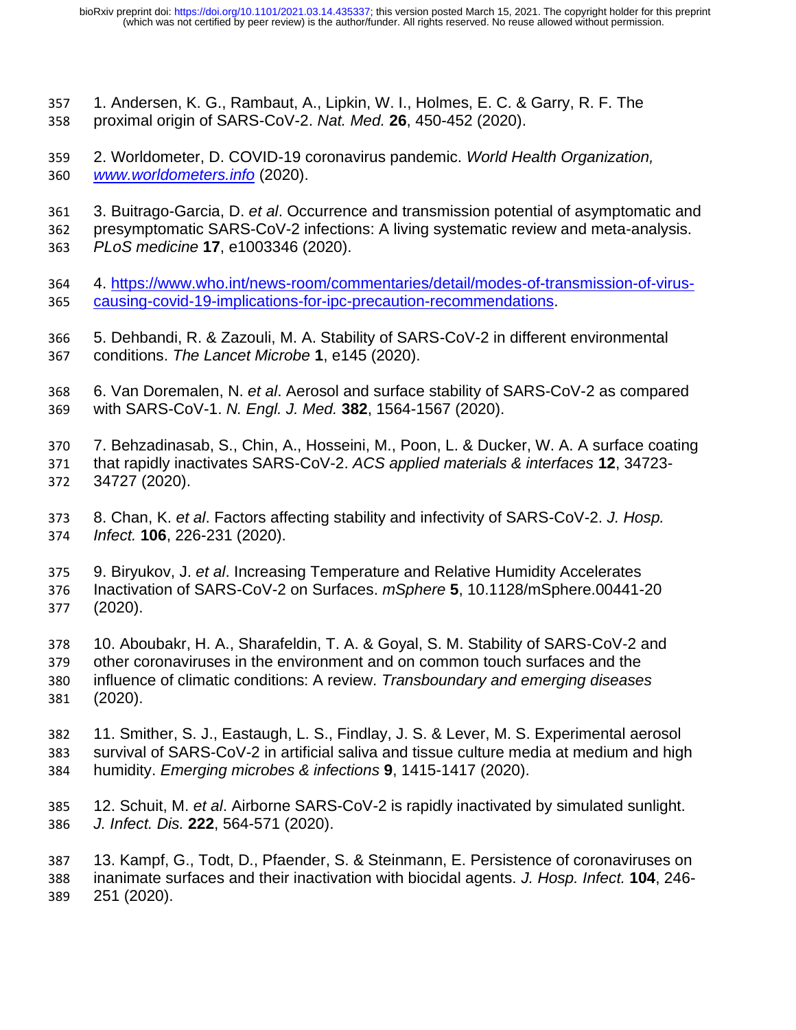- 1. Andersen, K. G., Rambaut, A., Lipkin, W. I., Holmes, E. C. & Garry, R. F. The proximal origin of SARS-CoV-2. *Nat. Med.* **26**, 450-452 (2020).
- 2. Worldometer, D. COVID-19 coronavirus pandemic. *World Health Organization, [www.worldometers.info](http://www.worldometers.info/)* (2020).
- 3. Buitrago-Garcia, D. *et al*. Occurrence and transmission potential of asymptomatic and
- presymptomatic SARS-CoV-2 infections: A living systematic review and meta-analysis. *PLoS medicine* **17**, e1003346 (2020).
- 4. [https://www.who.int/news-room/commentaries/detail/modes-of-transmission-of-virus-](https://www.who.int/news-room/commentaries/detail/modes-of-transmission-of-virus-causing-covid-19-implications-for-ipc-precaution-recommendations)[causing-covid-19-implications-for-ipc-precaution-recommendations.](https://www.who.int/news-room/commentaries/detail/modes-of-transmission-of-virus-causing-covid-19-implications-for-ipc-precaution-recommendations)
- 5. Dehbandi, R. & Zazouli, M. A. Stability of SARS-CoV-2 in different environmental conditions. *The Lancet Microbe* **1**, e145 (2020).
- 6. Van Doremalen, N. *et al*. Aerosol and surface stability of SARS-CoV-2 as compared with SARS-CoV-1. *N. Engl. J. Med.* **382**, 1564-1567 (2020).
- 7. Behzadinasab, S., Chin, A., Hosseini, M., Poon, L. & Ducker, W. A. A surface coating that rapidly inactivates SARS-CoV-2. *ACS applied materials & interfaces* **12**, 34723- 34727 (2020).
- 8. Chan, K. *et al*. Factors affecting stability and infectivity of SARS-CoV-2. *J. Hosp. Infect.* **106**, 226-231 (2020).
- 9. Biryukov, J. *et al*. Increasing Temperature and Relative Humidity Accelerates Inactivation of SARS-CoV-2 on Surfaces. *mSphere* **5**, 10.1128/mSphere.00441-20 (2020).
- 10. Aboubakr, H. A., Sharafeldin, T. A. & Goyal, S. M. Stability of SARS‐CoV‐2 and other coronaviruses in the environment and on common touch surfaces and the influence of climatic conditions: A review. *Transboundary and emerging diseases* (2020).
- 11. Smither, S. J., Eastaugh, L. S., Findlay, J. S. & Lever, M. S. Experimental aerosol survival of SARS-CoV-2 in artificial saliva and tissue culture media at medium and high humidity. *Emerging microbes & infections* **9**, 1415-1417 (2020).
- 12. Schuit, M. *et al*. Airborne SARS-CoV-2 is rapidly inactivated by simulated sunlight. *J. Infect. Dis.* **222**, 564-571 (2020).
- 13. Kampf, G., Todt, D., Pfaender, S. & Steinmann, E. Persistence of coronaviruses on inanimate surfaces and their inactivation with biocidal agents. *J. Hosp. Infect.* **104**, 246- 251 (2020).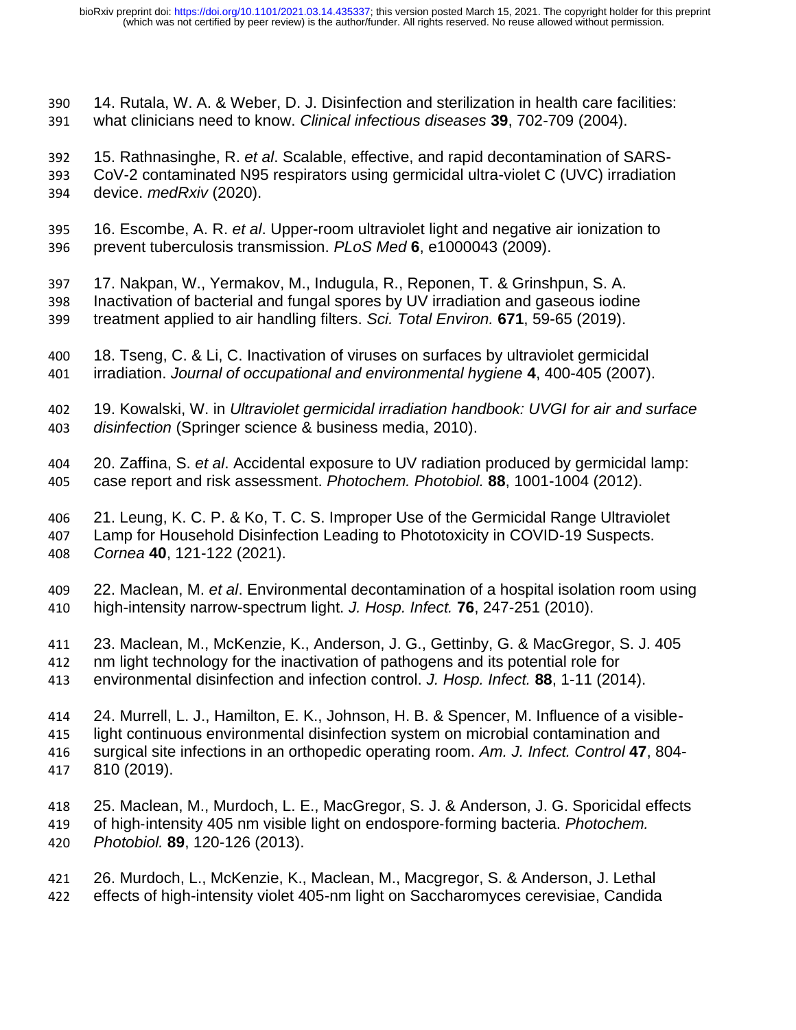- 14. Rutala, W. A. & Weber, D. J. Disinfection and sterilization in health care facilities: what clinicians need to know. *Clinical infectious diseases* **39**, 702-709 (2004).
- 15. Rathnasinghe, R. *et al*. Scalable, effective, and rapid decontamination of SARS- CoV-2 contaminated N95 respirators using germicidal ultra-violet C (UVC) irradiation device. *medRxiv* (2020).
- 16. Escombe, A. R. *et al*. Upper-room ultraviolet light and negative air ionization to prevent tuberculosis transmission. *PLoS Med* **6**, e1000043 (2009).
- 17. Nakpan, W., Yermakov, M., Indugula, R., Reponen, T. & Grinshpun, S. A. Inactivation of bacterial and fungal spores by UV irradiation and gaseous iodine treatment applied to air handling filters. *Sci. Total Environ.* **671**, 59-65 (2019).
- 18. Tseng, C. & Li, C. Inactivation of viruses on surfaces by ultraviolet germicidal irradiation. *Journal of occupational and environmental hygiene* **4**, 400-405 (2007).
- 19. Kowalski, W. in *Ultraviolet germicidal irradiation handbook: UVGI for air and surface disinfection* (Springer science & business media, 2010).
- 20. Zaffina, S. *et al*. Accidental exposure to UV radiation produced by germicidal lamp: case report and risk assessment. *Photochem. Photobiol.* **88**, 1001-1004 (2012).
- 21. Leung, K. C. P. & Ko, T. C. S. Improper Use of the Germicidal Range Ultraviolet Lamp for Household Disinfection Leading to Phototoxicity in COVID-19 Suspects. *Cornea* **40**, 121-122 (2021).
- 22. Maclean, M. *et al*. Environmental decontamination of a hospital isolation room using high-intensity narrow-spectrum light. *J. Hosp. Infect.* **76**, 247-251 (2010).
- 23. Maclean, M., McKenzie, K., Anderson, J. G., Gettinby, G. & MacGregor, S. J. 405
- nm light technology for the inactivation of pathogens and its potential role for
- environmental disinfection and infection control. *J. Hosp. Infect.* **88**, 1-11 (2014).
- 24. Murrell, L. J., Hamilton, E. K., Johnson, H. B. & Spencer, M. Influence of a visible- light continuous environmental disinfection system on microbial contamination and surgical site infections in an orthopedic operating room. *Am. J. Infect. Control* **47**, 804- 810 (2019).
- 25. Maclean, M., Murdoch, L. E., MacGregor, S. J. & Anderson, J. G. Sporicidal effects of high‐intensity 405 nm visible light on endospore‐forming bacteria. *Photochem. Photobiol.* **89**, 120-126 (2013).
- 26. Murdoch, L., McKenzie, K., Maclean, M., Macgregor, S. & Anderson, J. Lethal effects of high-intensity violet 405-nm light on Saccharomyces cerevisiae, Candida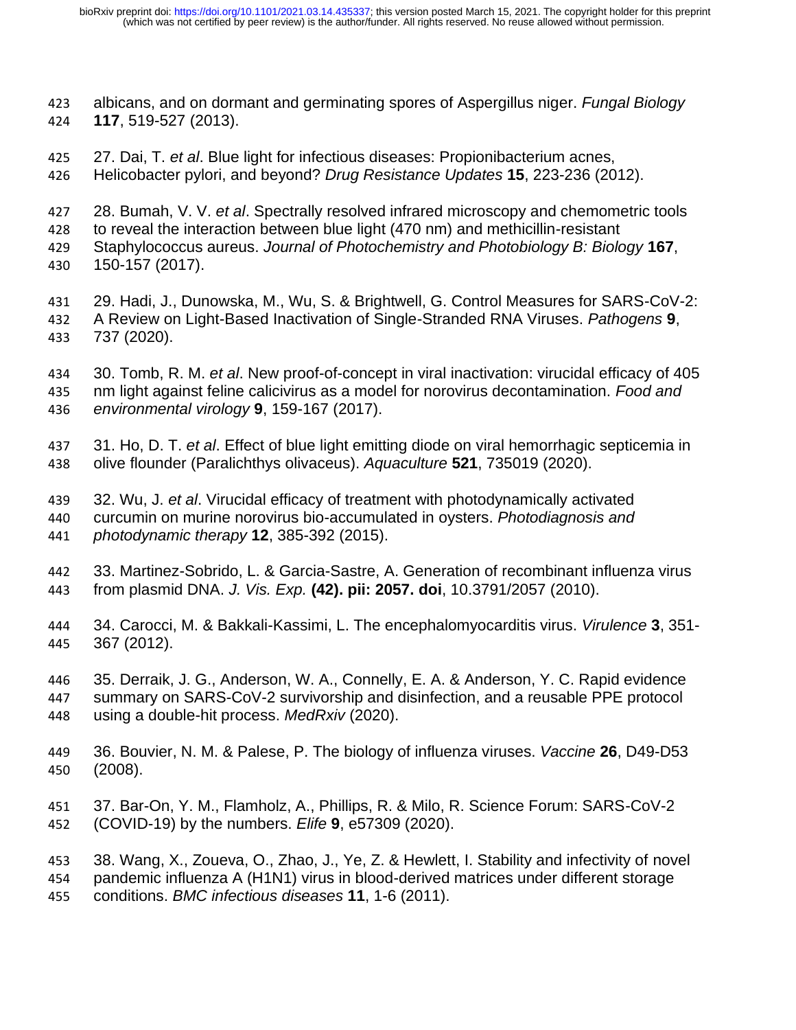- albicans, and on dormant and germinating spores of Aspergillus niger. *Fungal Biology* **117**, 519-527 (2013).
- 27. Dai, T. *et al*. Blue light for infectious diseases: Propionibacterium acnes,
- Helicobacter pylori, and beyond? *Drug Resistance Updates* **15**, 223-236 (2012).
- 28. Bumah, V. V. *et al*. Spectrally resolved infrared microscopy and chemometric tools
- to reveal the interaction between blue light (470 nm) and methicillin-resistant
- Staphylococcus aureus. *Journal of Photochemistry and Photobiology B: Biology* **167**, 150-157 (2017).
- 29. Hadi, J., Dunowska, M., Wu, S. & Brightwell, G. Control Measures for SARS-CoV-2: A Review on Light-Based Inactivation of Single-Stranded RNA Viruses. *Pathogens* **9**, 737 (2020).
- 30. Tomb, R. M. *et al*. New proof-of-concept in viral inactivation: virucidal efficacy of 405 nm light against feline calicivirus as a model for norovirus decontamination. *Food and environmental virology* **9**, 159-167 (2017).
- 31. Ho, D. T. *et al*. Effect of blue light emitting diode on viral hemorrhagic septicemia in olive flounder (Paralichthys olivaceus). *Aquaculture* **521**, 735019 (2020).
- 32. Wu, J. *et al*. Virucidal efficacy of treatment with photodynamically activated curcumin on murine norovirus bio-accumulated in oysters. *Photodiagnosis and photodynamic therapy* **12**, 385-392 (2015).
- 33. Martinez-Sobrido, L. & Garcia-Sastre, A. Generation of recombinant influenza virus from plasmid DNA. *J. Vis. Exp.* **(42). pii: 2057. doi**, 10.3791/2057 (2010).
- 34. Carocci, M. & Bakkali-Kassimi, L. The encephalomyocarditis virus. *Virulence* **3**, 351- 367 (2012).
- 35. Derraik, J. G., Anderson, W. A., Connelly, E. A. & Anderson, Y. C. Rapid evidence summary on SARS-CoV-2 survivorship and disinfection, and a reusable PPE protocol using a double-hit process. *MedRxiv* (2020).
- 36. Bouvier, N. M. & Palese, P. The biology of influenza viruses. *Vaccine* **26**, D49-D53 (2008).
- 37. Bar-On, Y. M., Flamholz, A., Phillips, R. & Milo, R. Science Forum: SARS-CoV-2 (COVID-19) by the numbers. *Elife* **9**, e57309 (2020).
- 38. Wang, X., Zoueva, O., Zhao, J., Ye, Z. & Hewlett, I. Stability and infectivity of novel pandemic influenza A (H1N1) virus in blood-derived matrices under different storage conditions. *BMC infectious diseases* **11**, 1-6 (2011).